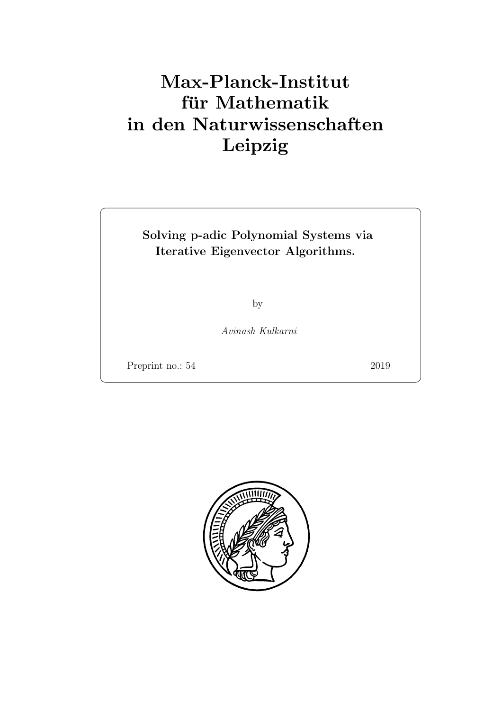# Max-Planck-Institut für Mathematik in den Naturwissenschaften Leipzig

# Solving p-adic Polynomial Systems via Iterative Eigenvector Algorithms.

by

Avinash Kulkarni

Preprint no.: 54 2019

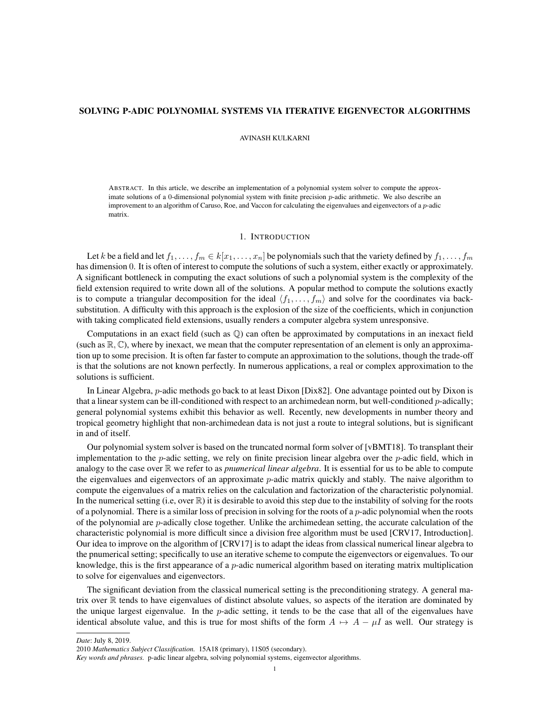## SOLVING P-ADIC POLYNOMIAL SYSTEMS VIA ITERATIVE EIGENVECTOR ALGORITHMS

#### AVINASH KULKARNI

ABSTRACT. In this article, we describe an implementation of a polynomial system solver to compute the approximate solutions of a 0-dimensional polynomial system with finite precision  $p$ -adic arithmetic. We also describe an improvement to an algorithm of Caruso, Roe, and Vaccon for calculating the eigenvalues and eigenvectors of a p-adic matrix.

#### 1. INTRODUCTION

Let k be a field and let  $f_1, \ldots, f_m \in k[x_1, \ldots, x_n]$  be polynomials such that the variety defined by  $f_1, \ldots, f_m$ has dimension 0. It is often of interest to compute the solutions of such a system, either exactly or approximately. A significant bottleneck in computing the exact solutions of such a polynomial system is the complexity of the field extension required to write down all of the solutions. A popular method to compute the solutions exactly is to compute a triangular decomposition for the ideal  $\langle f_1, \ldots, f_m \rangle$  and solve for the coordinates via backsubstitution. A difficulty with this approach is the explosion of the size of the coefficients, which in conjunction with taking complicated field extensions, usually renders a computer algebra system unresponsive.

Computations in an exact field (such as Q) can often be approximated by computations in an inexact field (such as  $\mathbb{R}, \mathbb{C}$ ), where by inexact, we mean that the computer representation of an element is only an approximation up to some precision. It is often far faster to compute an approximation to the solutions, though the trade-off is that the solutions are not known perfectly. In numerous applications, a real or complex approximation to the solutions is sufficient.

In Linear Algebra, p-adic methods go back to at least Dixon [Dix82]. One advantage pointed out by Dixon is that a linear system can be ill-conditioned with respect to an archimedean norm, but well-conditioned p-adically; general polynomial systems exhibit this behavior as well. Recently, new developments in number theory and tropical geometry highlight that non-archimedean data is not just a route to integral solutions, but is significant in and of itself.

Our polynomial system solver is based on the truncated normal form solver of [vBMT18]. To transplant their implementation to the *p*-adic setting, we rely on finite precision linear algebra over the *p*-adic field, which in analogy to the case over  $\mathbb R$  we refer to as *pnumerical linear algebra*. It is essential for us to be able to compute the eigenvalues and eigenvectors of an approximate *p*-adic matrix quickly and stably. The naive algorithm to compute the eigenvalues of a matrix relies on the calculation and factorization of the characteristic polynomial. In the numerical setting (i.e, over  $\mathbb R$ ) it is desirable to avoid this step due to the instability of solving for the roots of a polynomial. There is a similar loss of precision in solving for the roots of a  $p$ -adic polynomial when the roots of the polynomial are p-adically close together. Unlike the archimedean setting, the accurate calculation of the characteristic polynomial is more difficult since a division free algorithm must be used [CRV17, Introduction]. Our idea to improve on the algorithm of [CRV17] is to adapt the ideas from classical numerical linear algebra to the pnumerical setting; specifically to use an iterative scheme to compute the eigenvectors or eigenvalues. To our knowledge, this is the first appearance of a p-adic numerical algorithm based on iterating matrix multiplication to solve for eigenvalues and eigenvectors.

The significant deviation from the classical numerical setting is the preconditioning strategy. A general matrix over  $\mathbb R$  tends to have eigenvalues of distinct absolute values, so aspects of the iteration are dominated by the unique largest eigenvalue. In the  $p$ -adic setting, it tends to be the case that all of the eigenvalues have identical absolute value, and this is true for most shifts of the form  $A \mapsto A - \mu I$  as well. Our strategy is

*Date*: July 8, 2019.

<sup>2010</sup> *Mathematics Subject Classification.* 15A18 (primary), 11S05 (secondary).

*Key words and phrases.* p-adic linear algebra, solving polynomial systems, eigenvector algorithms.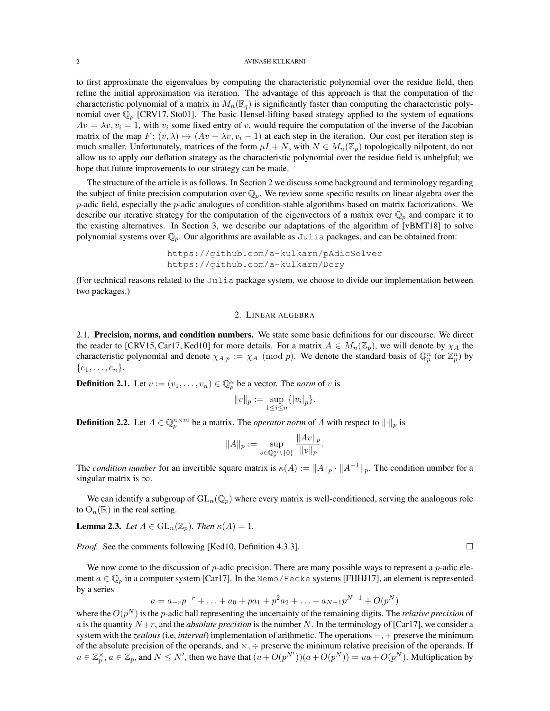to first approximate the eigenvalues by computing the characteristic polynomial over the residue field, then refine the initial approximation via iteration. The advantage of this approach is that the computation of the characteristic polynomial of a matrix in  $M_n(\mathbb{F}_q)$  is significantly faster than computing the characteristic polynomial over  $\mathbb{Q}_p$  [CRV17, Sto01]. The basic Hensel-lifting based strategy applied to the system of equations  $Av = \lambda v, v_i = 1$ , with  $v_i$  some fixed entry of v, would require the computation of the inverse of the Jacobian matrix of the map  $F: (v, \lambda) \mapsto (Av - \lambda v, v_i - 1)$  at each step in the iteration. Our cost per iteration step is much smaller. Unfortunately, matrices of the form  $\mu I + N$ , with  $N \in M_n(\mathbb{Z}_p)$  topologically nilpotent, do not allow us to apply our deflation strategy as the characteristic polynomial over the residue field is unhelpful; we hope that future improvements to our strategy can be made.

The structure of the article is as follows. In Section 2 we discuss some background and terminology regarding the subject of finite precision computation over  $\mathbb{Q}_p$ . We review some specific results on linear algebra over the  $p$ -adic field, especially the  $p$ -adic analogues of condition-stable algorithms based on matrix factorizations. We describe our iterative strategy for the computation of the eigenvectors of a matrix over  $\mathbb{Q}_p$  and compare it to the existing alternatives. In Section 3, we describe our adaptations of the algorithm of [vBMT18] to solve polynomial systems over  $\mathbb{Q}_p$ . Our algorithms are available as Julia packages, and can be obtained from:

https://github.com/a-kulkarn/pAdicSolver https://github.com/a-kulkarn/Dory

(For technical reasons related to the Julia package system, we choose to divide our implementation between two packages.)

#### 2. LINEAR ALGEBRA

2.1. Precision, norms, and condition numbers. We state some basic definitions for our discourse. We direct the reader to [CRV15, Car17, Ked10] for more details. For a matrix  $A \in M_n(\mathbb{Z}_p)$ , we will denote by  $\chi_A$  the characteristic polynomial and denote  $\chi_{A,p} := \chi_A \pmod{p}$ . We denote the standard basis of  $\mathbb{Q}_p^n$  (or  $\mathbb{Z}_p^n$ ) by  $\{e_1,\ldots,e_n\}.$ 

**Definition 2.1.** Let  $v := (v_1, \dots, v_n) \in \mathbb{Q}_p^n$  be a vector. The *norm* of v is

$$
||v||_p := \sup_{1 \le i \le n} \{|v_i|_p\}.
$$

**Definition 2.2.** Let  $A \in \mathbb{Q}_p^{n \times m}$  be a matrix. The *operator norm* of A with respect to  $\|\cdot\|_p$  is

$$
||A||_p := \sup_{v \in \mathbb{Q}_p^m \setminus \{0\}} \frac{||Av||_p}{||v||_p}.
$$

The *condition number* for an invertible square matrix is  $\kappa(A) := ||A||_p \cdot ||A^{-1}||_p$ . The condition number for a singular matrix is  $\infty$ .

We can identify a subgroup of  $GL_n(\mathbb{Q}_p)$  where every matrix is well-conditioned, serving the analogous role to  $O_n(\mathbb{R})$  in the real setting.

**Lemma 2.3.** *Let*  $A \in GL_n(\mathbb{Z}_p)$ *. Then*  $\kappa(A) = 1$ *.* 

*Proof.* See the comments following [Ked10, Definition 4.3.3]. □

We now come to the discussion of p-adic precision. There are many possible ways to represent a p-adic element  $a \in \mathbb{Q}_n$  in a computer system [Car17]. In the Nemo/Hecke systems [FHHJ17], an element is represented by a series

$$
a = a_{-r}p^{-r} + \ldots + a_0 + pa_1 + p^2 a_2 + \ldots + a_{N-1}p^{N-1} + O(p^N)
$$

where the  $O(p^N)$  is the *p*-adic ball representing the uncertainty of the remaining digits. The *relative precision* of a is the quantity  $N + r$ , and the *absolute precision* is the number N. In the terminology of [Car17], we consider a system with the *zealous* (i.e, *interval*) implementation of arithmetic. The operations −, + preserve the minimum of the absolute precision of the operands, and  $\times$ ,  $\div$  preserve the minimum relative precision of the operands. If  $u \in \mathbb{Z}_p^{\times}$ ,  $a \in \mathbb{Z}_p$ , and  $N \leq N'$ , then we have that  $(u + O(p^{N'}))(a + O(p^N)) = ua + O(p^N)$ . Multiplication by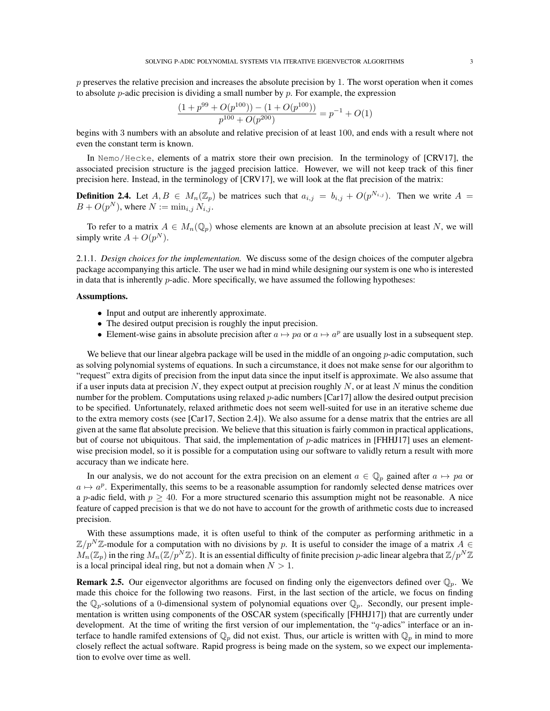p preserves the relative precision and increases the absolute precision by 1. The worst operation when it comes to absolute  $p$ -adic precision is dividing a small number by  $p$ . For example, the expression

$$
\frac{(1+p^{99}+O(p^{100})) - (1+O(p^{100}))}{p^{100}+O(p^{200})} = p^{-1} + O(1)
$$

begins with 3 numbers with an absolute and relative precision of at least 100, and ends with a result where not even the constant term is known.

In Nemo/Hecke, elements of a matrix store their own precision. In the terminology of [CRV17], the associated precision structure is the jagged precision lattice. However, we will not keep track of this finer precision here. Instead, in the terminology of [CRV17], we will look at the flat precision of the matrix:

**Definition 2.4.** Let  $A, B \in M_n(\mathbb{Z}_p)$  be matrices such that  $a_{i,j} = b_{i,j} + O(p^{N_{i,j}})$ . Then we write  $A =$  $B + O(p^N)$ , where  $N := \min_{i,j} N_{i,j}$ .

To refer to a matrix  $A \in M_n(\mathbb{Q}_p)$  whose elements are known at an absolute precision at least N, we will simply write  $A + O(p^N)$ .

2.1.1. *Design choices for the implementation.* We discuss some of the design choices of the computer algebra package accompanying this article. The user we had in mind while designing our system is one who is interested in data that is inherently  $p$ -adic. More specifically, we have assumed the following hypotheses:

### Assumptions.

- Input and output are inherently approximate.
- The desired output precision is roughly the input precision.
- Element-wise gains in absolute precision after  $a \mapsto pa$  or  $a \mapsto a^p$  are usually lost in a subsequent step.

We believe that our linear algebra package will be used in the middle of an ongoing  $p$ -adic computation, such as solving polynomial systems of equations. In such a circumstance, it does not make sense for our algorithm to "request" extra digits of precision from the input data since the input itself is approximate. We also assume that if a user inputs data at precision N, they expect output at precision roughly N, or at least N minus the condition number for the problem. Computations using relaxed *p*-adic numbers [Car17] allow the desired output precision to be specified. Unfortunately, relaxed arithmetic does not seem well-suited for use in an iterative scheme due to the extra memory costs (see [Car17, Section 2.4]). We also assume for a dense matrix that the entries are all given at the same flat absolute precision. We believe that this situation is fairly common in practical applications, but of course not ubiquitous. That said, the implementation of  $p$ -adic matrices in [FHHJ17] uses an elementwise precision model, so it is possible for a computation using our software to validly return a result with more accuracy than we indicate here.

In our analysis, we do not account for the extra precision on an element  $a \in \mathbb{Q}_p$  gained after  $a \mapsto pa$  or  $a \mapsto a^p$ . Experimentally, this seems to be a reasonable assumption for randomly selected dense matrices over a p-adic field, with  $p \ge 40$ . For a more structured scenario this assumption might not be reasonable. A nice feature of capped precision is that we do not have to account for the growth of arithmetic costs due to increased precision.

With these assumptions made, it is often useful to think of the computer as performing arithmetic in a  $\mathbb{Z}/p^N\mathbb{Z}$ -module for a computation with no divisions by p. It is useful to consider the image of a matrix  $A \in$  $\overline{M_n}(\mathbb{Z}_p)$  in the ring  $M_n(\mathbb{Z}/p^N\mathbb{Z})$ . It is an essential difficulty of finite precision p-adic linear algebra that  $\mathbb{Z}/p^N\mathbb{Z}$ is a local principal ideal ring, but not a domain when  $N > 1$ .

**Remark 2.5.** Our eigenvector algorithms are focused on finding only the eigenvectors defined over  $\mathbb{Q}_p$ . We made this choice for the following two reasons. First, in the last section of the article, we focus on finding the  $\mathbb{Q}_p$ -solutions of a 0-dimensional system of polynomial equations over  $\mathbb{Q}_p$ . Secondly, our present implementation is written using components of the OSCAR system (specifically [FHHJ17]) that are currently under development. At the time of writing the first version of our implementation, the "q-adics" interface or an interface to handle ramifed extensions of  $\mathbb{Q}_p$  did not exist. Thus, our article is written with  $\mathbb{Q}_p$  in mind to more closely reflect the actual software. Rapid progress is being made on the system, so we expect our implementation to evolve over time as well.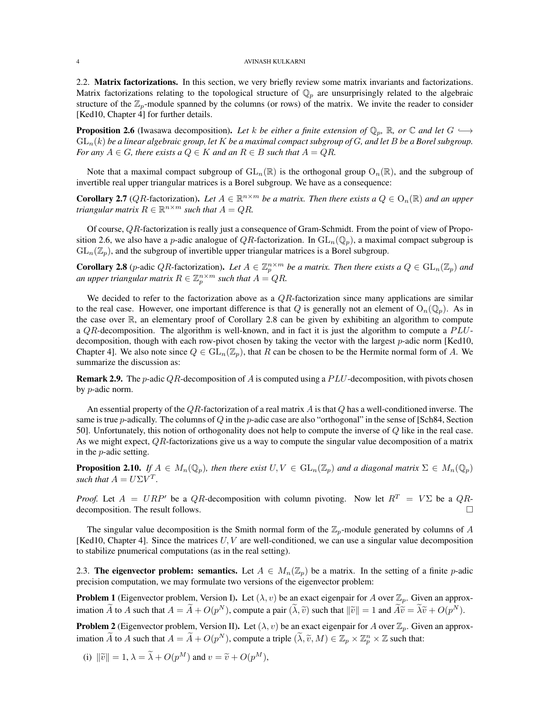2.2. Matrix factorizations. In this section, we very briefly review some matrix invariants and factorizations. Matrix factorizations relating to the topological structure of  $\mathbb{Q}_p$  are unsurprisingly related to the algebraic structure of the  $\mathbb{Z}_p$ -module spanned by the columns (or rows) of the matrix. We invite the reader to consider [Ked10, Chapter 4] for further details.

**Proposition 2.6** (Iwasawa decomposition). Let k be either a finite extension of  $\mathbb{Q}_p$ , R, or  $\mathbb{C}$  and let  $G \hookrightarrow$ GLn(k) *be a linear algebraic group, let* K *be a maximal compact subgroup of* G*, and let* B *be a Borel subgroup. For any*  $A \in G$ *, there exists a*  $Q \in K$  *and an*  $R \in B$  *such that*  $A = QR$ *.* 

Note that a maximal compact subgroup of  $GL_n(\mathbb{R})$  is the orthogonal group  $O_n(\mathbb{R})$ , and the subgroup of invertible real upper triangular matrices is a Borel subgroup. We have as a consequence:

**Corollary 2.7** (*QR*-factorization). Let  $A \in \mathbb{R}^{n \times m}$  be a matrix. Then there exists a  $Q \in O_n(\mathbb{R})$  and an upper *triangular matrix*  $R \in \mathbb{R}^{n \times m}$  *such that*  $A = QR$ .

Of course, QR-factorization is really just a consequence of Gram-Schmidt. From the point of view of Proposition 2.6, we also have a p-adic analogue of QR-factorization. In  $GL_n(\mathbb{Q}_p)$ , a maximal compact subgroup is  $GL_n(\mathbb{Z}_p)$ , and the subgroup of invertible upper triangular matrices is a Borel subgroup.

**Corollary 2.8** (*p*-adic *QR*-factorization). Let  $A \in \mathbb{Z}_p^{n \times m}$  be a matrix. Then there exists a  $Q \in GL_n(\mathbb{Z}_p)$  and an upper triangular matrix  $R \in \mathbb{Z}_p^{n \times m}$  such that  $A = QR$ .

We decided to refer to the factorization above as a QR-factorization since many applications are similar to the real case. However, one important difference is that Q is generally not an element of  $O_n(\mathbb{Q}_p)$ . As in the case over  $\mathbb{R}$ , an elementary proof of Corollary 2.8 can be given by exhibiting an algorithm to compute a  $QR$ -decomposition. The algorithm is well-known, and in fact it is just the algorithm to compute a  $PLU$ decomposition, though with each row-pivot chosen by taking the vector with the largest p-adic norm [Ked10, Chapter 4]. We also note since  $Q \in GL_n(\mathbb{Z}_p)$ , that R can be chosen to be the Hermite normal form of A. We summarize the discussion as:

**Remark 2.9.** The p-adic QR-decomposition of A is computed using a PLU-decomposition, with pivots chosen by p-adic norm.

An essential property of the  $QR$ -factorization of a real matrix  $A$  is that  $Q$  has a well-conditioned inverse. The same is true p-adically. The columns of  $Q$  in the p-adic case are also "orthogonal" in the sense of [Sch84, Section 50]. Unfortunately, this notion of orthogonality does not help to compute the inverse of Q like in the real case. As we might expect, QR-factorizations give us a way to compute the singular value decomposition of a matrix in the p-adic setting.

**Proposition 2.10.** *If*  $A \in M_n(\mathbb{Q}_p)$ , then there exist  $U, V \in GL_n(\mathbb{Z}_p)$  and a diagonal matrix  $\Sigma \in M_n(\mathbb{Q}_p)$ *such that*  $A = U\Sigma V^T$ .

*Proof.* Let  $A = URP'$  be a QR-decomposition with column pivoting. Now let  $R^T = V\Sigma$  be a QRdecomposition. The result follows.

The singular value decomposition is the Smith normal form of the  $\mathbb{Z}_p$ -module generated by columns of A [Ked10, Chapter 4]. Since the matrices  $U, V$  are well-conditioned, we can use a singular value decomposition to stabilize pnumerical computations (as in the real setting).

2.3. The eigenvector problem: semantics. Let  $A \in M_n(\mathbb{Z}_p)$  be a matrix. In the setting of a finite *p*-adic precision computation, we may formulate two versions of the eigenvector problem:

**Problem 1** (Eigenvector problem, Version I). Let  $(\lambda, v)$  be an exact eigenpair for A over  $\mathbb{Z}_p$ . Given an approximation  $\tilde{A}$  to  $A$  such that  $A = \tilde{A} + O(p^N)$ , compute a pair  $(\tilde{\lambda}, \tilde{v})$  such that  $\|\tilde{v}\| = 1$  and  $\tilde{A}\tilde{v} = \tilde{\lambda}\tilde{v} + O(p^N)$ .

**Problem 2** (Eigenvector problem, Version II). Let  $(\lambda, v)$  be an exact eigenpair for A over  $\mathbb{Z}_p$ . Given an approximation  $\widetilde{A}$  to A such that  $A = \widetilde{A} + O(p^N)$ , compute a triple  $(\widetilde{\lambda}, \widetilde{v}, M) \in \mathbb{Z}_p \times \mathbb{Z}_p^n \times \mathbb{Z}$  such that:

(i)  $\|\tilde{v}\| = 1, \lambda = \tilde{\lambda} + O(p^M)$  and  $v = \tilde{v} + O(p^M)$ ,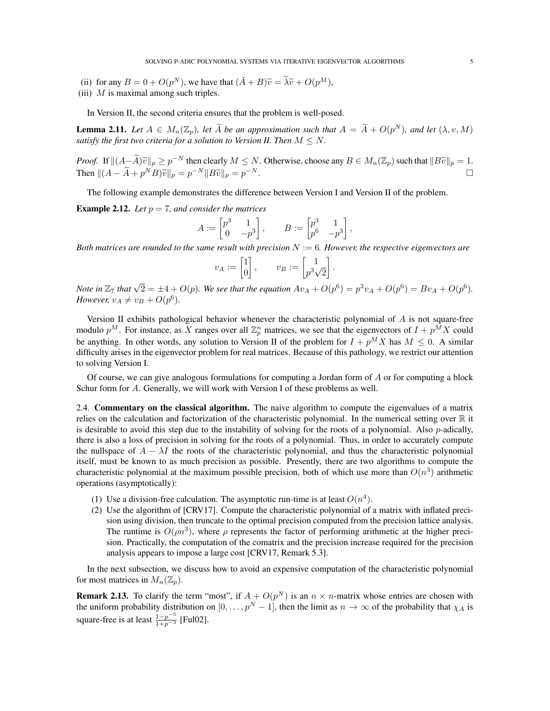SOLVING P-ADIC POLYNOMIAL SYSTEMS VIA ITERATIVE EIGENVECTOR ALGORITHMS 5

- (ii) for any  $B = 0 + O(p^N)$ , we have that  $(\tilde{A} + B)\tilde{v} = \tilde{\lambda}\tilde{v} + O(p^M)$ ,<br>
(iii) M is maximal among such triples
- (iii)  $M$  is maximal among such triples.

In Version II, the second criteria ensures that the problem is well-posed.

**Lemma 2.11.** Let  $A \in M_n(\mathbb{Z}_p)$ , let  $\widetilde{A}$  be an approximation such that  $A = \widetilde{A} + O(p^N)$ , and let  $(\lambda, v, M)$ *satisfy the first two criteria for a solution to Version II. Then*  $M \leq N$ .

*Proof.* If  $||(A - \widetilde{A})\widetilde{v}||_p \geq p^{-N}$  then clearly  $M \leq N$ . Otherwise, choose any  $B \in M_n(\mathbb{Z}_p)$  such that  $||B\widetilde{v}||_p = 1$ . Then  $||(A - \widetilde{A} + p^N B)\widetilde{v}||_p = p^{-N}||B\widetilde{v}||_p = p^{-N}.$ 

The following example demonstrates the difference between Version I and Version II of the problem.

**Example 2.12.** Let  $p = 7$ , and consider the matrices

$$
A := \begin{bmatrix} p^3 & 1 \\ 0 & -p^3 \end{bmatrix}, \qquad B := \begin{bmatrix} p^3 & 1 \\ p^6 & -p^3 \end{bmatrix},
$$

*Both matrices are rounded to the same result with precision* N := 6*. However, the respective eigenvectors are*

$$
v_A := \begin{bmatrix} 1 \\ 0 \end{bmatrix}, \qquad v_B := \begin{bmatrix} 1 \\ p^3 \sqrt{2} \end{bmatrix}.
$$

*Note in*  $\mathbb{Z}_7$  *that*  $\sqrt{2} = \pm 4 + O(p)$ *. We see that the equation*  $Av_A + O(p^6) = p^3v_A + O(p^6) = Bv_A + O(p^6)$ *. However,*  $v_A \neq v_B + O(p^6)$ *.* 

Version II exhibits pathological behavior whenever the characteristic polynomial of  $A$  is not square-free modulo  $p^M$ . For instance, as X ranges over all  $\mathbb{Z}_p^n$  matrices, we see that the eigenvectors of  $I + p^{\tilde{M}}X$  could be anything. In other words, any solution to Version II of the problem for  $I + p^M X$  has  $M \leq 0$ . A similar difficulty arises in the eigenvector problem for real matrices. Because of this pathology, we restrict our attention to solving Version I.

Of course, we can give analogous formulations for computing a Jordan form of A or for computing a block Schur form for A. Generally, we will work with Version I of these problems as well.

2.4. Commentary on the classical algorithm. The naive algorithm to compute the eigenvalues of a matrix relies on the calculation and factorization of the characteristic polynomial. In the numerical setting over R it is desirable to avoid this step due to the instability of solving for the roots of a polynomial. Also p-adically, there is also a loss of precision in solving for the roots of a polynomial. Thus, in order to accurately compute the nullspace of  $A - \lambda I$  the roots of the characteristic polynomial, and thus the characteristic polynomial itself, must be known to as much precision as possible. Presently, there are two algorithms to compute the characteristic polynomial at the maximum possible precision, both of which use more than  $O(n^3)$  arithmetic operations (asymptotically):

- (1) Use a division-free calculation. The asymptotic run-time is at least  $O(n^4)$ .
- (2) Use the algorithm of [CRV17]. Compute the characteristic polynomial of a matrix with inflated precision using division, then truncate to the optimal precision computed from the precision lattice analysis. The runtime is  $O(\rho n^3)$ , where  $\rho$  represents the factor of performing arithmetic at the higher precision. Practically, the computation of the comatrix and the precision increase required for the precision analysis appears to impose a large cost [CRV17, Remark 5.3].

In the next subsection, we discuss how to avoid an expensive computation of the characteristic polynomial for most matrices in  $M_n(\mathbb{Z}_p)$ .

**Remark 2.13.** To clarify the term "most", if  $A + O(p^N)$  is an  $n \times n$ -matrix whose entries are chosen with the uniform probability distribution on  $[0, \ldots, p^N - 1]$ , then the limit as  $n \to \infty$  of the probability that  $\chi_A$  is square-free is at least  $\frac{1-p^{-5}}{1+p^{-3}}$  [Ful02].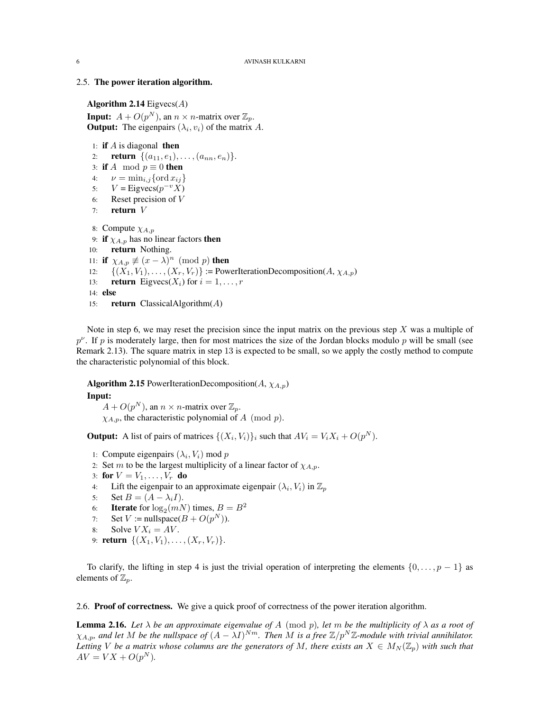## 2.5. The power iteration algorithm.

Algorithm 2.14  $Eigvecs(A)$ **Input:**  $A + O(p^N)$ , an  $n \times n$ -matrix over  $\mathbb{Z}_p$ . **Output:** The eigenpairs  $(\lambda_i, v_i)$  of the matrix A.

1: **if**  $A$  is diagonal **then** 2: **return**  $\{(a_{11}, e_1), \ldots, (a_{nn}, e_n)\}.$ 3: if A mod  $p \equiv 0$  then 4:  $\nu = \min_{i,j} \{\text{ord } x_{ij}\}\$ 5:  $V = \text{Eigvecs}(p^{-v}X)$ 6: Reset precision of V 7: return V 8: Compute  $\chi_{A,p}$ 9: if  $\chi_{A,p}$  has no linear factors then 10: **return** Nothing. 11: if  $\chi_{A,p} \not\equiv (x - \lambda)^n \pmod{p}$  then 12:  $\{(X_1, V_1), \ldots, (X_r, V_r)\}$  := PowerIterationDecomposition(A,  $\chi_{A,p}$ ) 13: **return** Eigvecs( $X_i$ ) for  $i = 1, \ldots, r$ 14: else 15: **return** ClassicalAlgorithm $(A)$ 

Note in step 6, we may reset the precision since the input matrix on the previous step  $X$  was a multiple of  $p^{\nu}$ . If p is moderately large, then for most matrices the size of the Jordan blocks modulo p will be small (see Remark 2.13). The square matrix in step 13 is expected to be small, so we apply the costly method to compute the characteristic polynomial of this block.

**Algorithm 2.15** PowerIterationDecomposition( $A$ ,  $\chi_{A,p}$ ) Input:  $A + O(p^N)$ , an  $n \times n$ -matrix over  $\mathbb{Z}_p$ .

 $\chi_{A,p}$ , the characteristic polynomial of A (mod p).

**Output:** A list of pairs of matrices  $\{(X_i, V_i)\}_i$  such that  $AV_i = V_i X_i + O(p^N)$ .

- 1: Compute eigenpairs  $(\lambda_i, V_i)$  mod p
- 2: Set m to be the largest multiplicity of a linear factor of  $\chi_{A,p}$ .
- 3: for  $V = V_1, \ldots, V_r$  do
- 4: Lift the eigenpair to an approximate eigenpair  $(\lambda_i, V_i)$  in  $\mathbb{Z}_p$
- 5: Set  $B = (A \lambda_i I)$ .
- 6: **Iterate** for  $\log_2(mN)$  times,  $B = B^2$
- 7: Set  $V := \text{nullspace}(B + O(p^N)).$
- 8: Solve  $V X_i = A V$ .
- 9: **return**  $\{(X_1, V_1), \ldots, (X_r, V_r)\}.$

To clarify, the lifting in step 4 is just the trivial operation of interpreting the elements  $\{0, \ldots, p-1\}$  as elements of  $\mathbb{Z}_p$ .

2.6. Proof of correctness. We give a quick proof of correctness of the power iteration algorithm.

**Lemma 2.16.** *Let*  $\lambda$  *be an approximate eigenvalue of* A (mod p), let m be the multiplicity of  $\lambda$  as a root of  $\chi_{A,p}$ , and let M be the nullspace of  $(A - \lambda I)^{Nm}$ . Then M is a free  $\mathbb{Z}/p^N\mathbb{Z}$ -module with trivial annihilator. *Letting V be a matrix whose columns are the generators of M*, there exists an  $X \in M_N(\mathbb{Z}_p)$  with such that  $AV = VX + O(p^N)$ *.*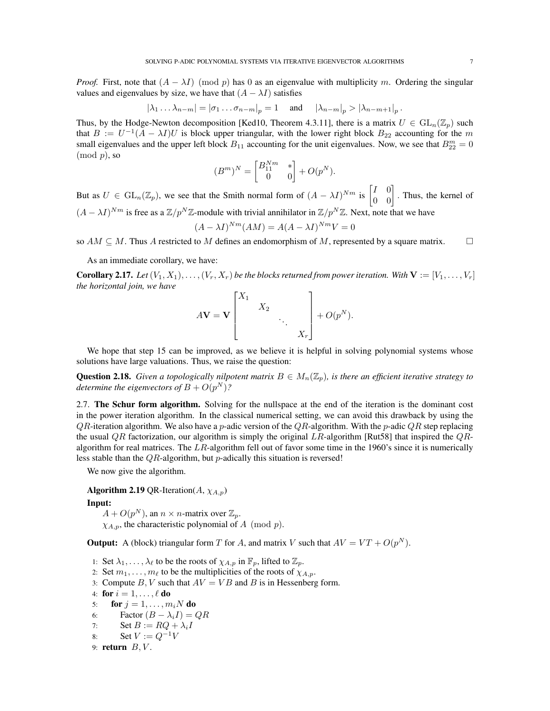*Proof.* First, note that  $(A - \lambda I)$  (mod p) has 0 as an eigenvalue with multiplicity m. Ordering the singular values and eigenvalues by size, we have that  $(A - \lambda I)$  satisfies

$$
|\lambda_1 \dots \lambda_{n-m}| = |\sigma_1 \dots \sigma_{n-m}|_p = 1 \quad \text{and} \quad |\lambda_{n-m}|_p > |\lambda_{n-m+1}|_p.
$$

Thus, by the Hodge-Newton decomposition [Ked10, Theorem 4.3.11], there is a matrix  $U \in GL_n(\mathbb{Z}_p)$  such that  $B := U^{-1}(A - \lambda I)U$  is block upper triangular, with the lower right block  $B_{22}$  accounting for the m small eigenvalues and the upper left block  $B_{11}$  accounting for the unit eigenvalues. Now, we see that  $B_{22}^m = 0$  $\pmod{p}$ , so

$$
(Bm)N = \begin{bmatrix} B_{11}^{Nm} & * \\ 0 & 0 \end{bmatrix} + O(pN).
$$

But as  $U \in GL_n(\mathbb{Z}_p)$ , we see that the Smith normal form of  $(A - \lambda I)^{Nm}$  is  $\begin{bmatrix} I & 0 \\ 0 & 0 \end{bmatrix}$ . Thus, the kernel of  $(A - \lambda I)^{Nm}$  is free as a  $\mathbb{Z}/p^N\mathbb{Z}$ -module with trivial annihilator in  $\mathbb{Z}/p^N\mathbb{Z}$ . Next, note that we have

$$
(A - \lambda I)^{Nm}(AM) = A(A - \lambda I)^{Nm}V = 0
$$

so  $AM \subseteq M$ . Thus A restricted to M defines an endomorphism of M, represented by a square matrix.  $\square$ 

As an immediate corollary, we have:

**Corollary 2.17.** Let  $(V_1, X_1), \ldots, (V_r, X_r)$  be the blocks returned from power iteration. With  $V := [V_1, \ldots, V_r]$ *the horizontal join, we have*

$$
A\mathbf{V} = \mathbf{V} \begin{bmatrix} X_1 & & & \\ & X_2 & & \\ & & \ddots & \\ & & & X_r \end{bmatrix} + O(p^N).
$$

We hope that step 15 can be improved, as we believe it is helpful in solving polynomial systems whose solutions have large valuations. Thus, we raise the question:

Question 2.18. *Given a topologically nilpotent matrix*  $B \in M_n(\mathbb{Z}_p)$ , *is there an efficient iterative strategy to* determine the eigenvectors of  $B+O(p^N)$ ?

2.7. The Schur form algorithm. Solving for the nullspace at the end of the iteration is the dominant cost in the power iteration algorithm. In the classical numerical setting, we can avoid this drawback by using the  $QR$ -iteration algorithm. We also have a p-adic version of the  $QR$ -algorithm. With the p-adic  $QR$  step replacing the usual QR factorization, our algorithm is simply the original  $LR$ -algorithm [Rut58] that inspired the  $QR$ algorithm for real matrices. The LR-algorithm fell out of favor some time in the 1960's since it is numerically less stable than the  $QR$ -algorithm, but p-adically this situation is reversed!

We now give the algorithm.

Algorithm 2.19 QR-Iteration( $A$ ,  $\chi_{A,p}$ ) Input:

 $A + O(p^N)$ , an  $n \times n$ -matrix over  $\mathbb{Z}_p$ .

 $\chi_{A,p}$ , the characteristic polynomial of A (mod p).

**Output:** A (block) triangular form T for A, and matrix V such that  $AV = VT + O(p^N)$ .

- 1: Set  $\lambda_1, \ldots, \lambda_\ell$  to be the roots of  $\chi_{A,p}$  in  $\mathbb{F}_p$ , lifted to  $\mathbb{Z}_p$ .
- 2: Set  $m_1, \ldots, m_\ell$  to be the multiplicities of the roots of  $\chi_{A,p}$ .
- 3: Compute  $B, V$  such that  $AV = VB$  and  $B$  is in Hessenberg form.

```
4: for i = 1, \ldots, \ell do
```
- 5: for  $j = 1, \ldots, m_iN$  do
- 6: Factor  $(B \lambda_i I) = QR$
- 7: Set  $B := RQ + \lambda_i I$
- 8: Set  $V := Q^{-1}V$
- 9: return  $B, V$ .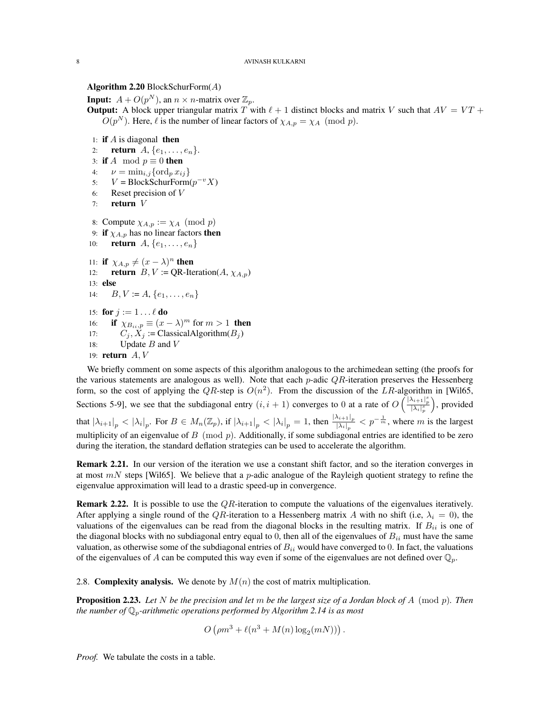# Algorithm 2.20 BlockSchurForm $(A)$

**Input:**  $A + O(p^N)$ , an  $n \times n$ -matrix over  $\mathbb{Z}_p$ .

**Output:** A block upper triangular matrix T with  $\ell + 1$  distinct blocks and matrix V such that  $AV = VT +$  $O(p^N)$ . Here,  $\ell$  is the number of linear factors of  $\chi_{A,p} = \chi_A \pmod{p}$ .

- 1: if  $A$  is diagonal then
- 2: **return**  $A, \{e_1, \ldots, e_n\}.$
- 3: if A mod  $p \equiv 0$  then
- 4:  $\nu = \min_{i,j} {\text{ord}_p \, x_{ij}}$
- 5:  $V = \text{BlockSchurForm}(p^{-v}X)$
- 6: Reset precision of V
- 7: return V
- 8: Compute  $\chi_{A,p} := \chi_A \pmod{p}$
- 9: if  $\chi_{A,p}$  has no linear factors then
- 10: **return**  $A, \{e_1, \ldots, e_n\}$
- 11: if  $\chi_{A,p} \neq (x \lambda)^n$  then 12: **return**  $B, V := QR$ -Iteration( $A, \chi_{A,p}$ ) 13: else 14:  $B, V := A, \{e_1, \ldots, e_n\}$ 15: for  $j := 1 \dots \ell$  do 16: **if**  $\chi_{B_{ii},p} \equiv (x - \lambda)^m$  for  $m > 1$  **then** 17:  $C_j, X_j := \text{ClassicalAlgorithm}(B_j)$ 18: Update  $B$  and  $V$
- 19: **return**  $A, V$

We briefly comment on some aspects of this algorithm analogous to the archimedean setting (the proofs for the various statements are analogous as well). Note that each p-adic  $QR$ -iteration preserves the Hessenberg form, so the cost of applying the QR-step is  $O(n^2)$ . From the discussion of the LR-algorithm in [Wil65, Sections 5-9], we see that the subdiagonal entry  $(i, i + 1)$  converges to 0 at a rate of  $O\left(\frac{|\lambda_{i+1}|_p^s}{|\lambda_i|_p^s}\right)$  , provided that  $|\lambda_{i+1}|_p < |\lambda_i|_p$ . For  $B \in M_n(\mathbb{Z}_p)$ , if  $|\lambda_{i+1}|_p < |\lambda_i|_p = 1$ , then  $\frac{|\lambda_{i+1}|_p}{|\lambda_i|_p} < p^{-\frac{1}{m}}$ , where m is the largest multiplicity of an eigenvalue of B (mod  $p$ ). Additionally, if some subdiagonal entries are identified to be zero during the iteration, the standard deflation strategies can be used to accelerate the algorithm.

Remark 2.21. In our version of the iteration we use a constant shift factor, and so the iteration converges in at most  $mN$  steps [Wil65]. We believe that a p-adic analogue of the Rayleigh quotient strategy to refine the eigenvalue approximation will lead to a drastic speed-up in convergence.

**Remark 2.22.** It is possible to use the  $QR$ -iteration to compute the valuations of the eigenvalues iteratively. After applying a single round of the QR-iteration to a Hessenberg matrix A with no shift (i.e,  $\lambda_i = 0$ ), the valuations of the eigenvalues can be read from the diagonal blocks in the resulting matrix. If  $B_{ii}$  is one of the diagonal blocks with no subdiagonal entry equal to 0, then all of the eigenvalues of  $B_{ii}$  must have the same valuation, as otherwise some of the subdiagonal entries of  $B_{ii}$  would have converged to 0. In fact, the valuations of the eigenvalues of A can be computed this way even if some of the eigenvalues are not defined over  $\mathbb{Q}_p$ .

2.8. Complexity analysis. We denote by  $M(n)$  the cost of matrix multiplication.

Proposition 2.23. *Let* N *be the precision and let* m *be the largest size of a Jordan block of* A (mod p)*. Then the number of*  $\mathbb{Q}_p$ -arithmetic operations performed by Algorithm 2.14 is as most

$$
O\left(\rho m^3 + \ell(n^3 + M(n) \log_2(mN))\right).
$$

*Proof.* We tabulate the costs in a table.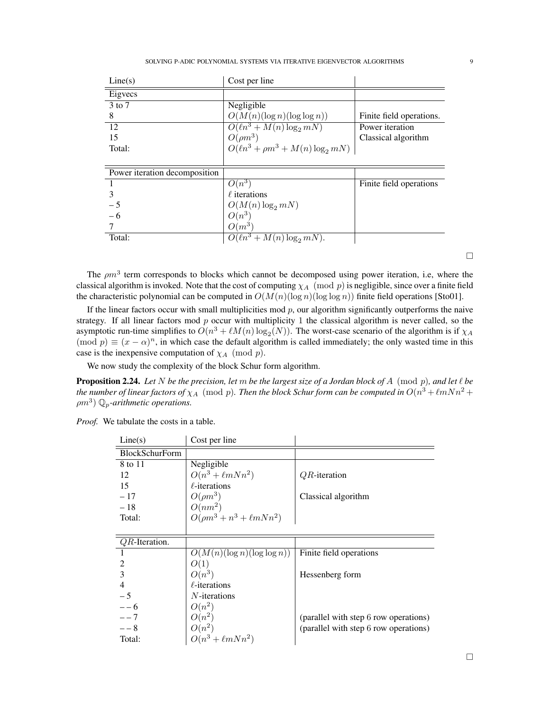| Line(s)                       | Cost per line                             |                          |
|-------------------------------|-------------------------------------------|--------------------------|
| Eigyecs                       |                                           |                          |
| 3 to 7                        | Negligible                                |                          |
| 8                             | $O(M(n)(\log n)(\log \log n))$            | Finite field operations. |
| 12                            | $O(\ell n^3 + M(n) \log_2 mN)$            | Power iteration          |
| 15                            | $O(\rho m^3)$                             | Classical algorithm      |
| Total:                        | $O(\ell n^3 + \rho m^3 + M(n) \log_2 mN)$ |                          |
|                               |                                           |                          |
| Power iteration decomposition |                                           |                          |
|                               | $O(n^3)$                                  | Finite field operations  |
| 3                             | $\ell$ iterations                         |                          |
| $-5$                          | $O(M(n)\log_2 mN)$                        |                          |
| - 6                           | $O(n^3)$                                  |                          |
|                               | $O(m^3)$                                  |                          |
| Total:                        | $O(\ell n^3 + M(n) \log_2 mN)$ .          |                          |

The  $\rho m^3$  term corresponds to blocks which cannot be decomposed using power iteration, i.e, where the classical algorithm is invoked. Note that the cost of computing  $\chi_A$  (mod p) is negligible, since over a finite field the characteristic polynomial can be computed in  $O(M(n)(\log n)(\log \log n))$  finite field operations [Sto01].

If the linear factors occur with small multiplicities mod  $p$ , our algorithm significantly outperforms the naive strategy. If all linear factors mod  $p$  occur with multiplicity 1 the classical algorithm is never called, so the asymptotic run-time simplifies to  $O(n^3 + \ell M(n) \log_2(N))$ . The worst-case scenario of the algorithm is if  $\chi_A$  $(\text{mod } p) \equiv (x - \alpha)^n$ , in which case the default algorithm is called immediately; the only wasted time in this case is the inexpensive computation of  $\chi_A \pmod{p}$ .

We now study the complexity of the block Schur form algorithm.

**Proposition 2.24.** Let  $N$  be the precision, let  $m$  be the largest size of a Jordan block of  $A \pmod{p}$ , and let  $\ell$  be the number of linear factors of  $\chi_A \pmod{p}$ . Then the block Schur form can be computed in  $O(n^3 + \ell mNn^2 +$  $(\rho m^3)$  Q<sub>p</sub>-arithmetic operations.

| Line(s)               | Cost per line                      |                                       |
|-----------------------|------------------------------------|---------------------------------------|
| <b>BlockSchurForm</b> |                                    |                                       |
| 8 to 11               | Negligible                         |                                       |
| 12                    | $O(n^3 + \ell m N n^2)$            | $QR$ -iteration                       |
| 15                    | $\ell$ -iterations                 |                                       |
| $-17$                 | $O(\rho m^3)$                      | Classical algorithm                   |
| $-18$                 | $O(nm^2)$                          |                                       |
| Total:                | $O(\rho m^3 + n^3 + \ell m N n^2)$ |                                       |
|                       |                                    |                                       |
| $QR$ -Iteration.      |                                    |                                       |
|                       | $O(M(n)(\log n)(\log \log n))$     | Finite field operations               |
| 2                     | O(1)                               |                                       |
| $\overline{3}$        | $O(n^3)$                           | Hessenberg form                       |
| $\overline{4}$        | $\ell$ -iterations                 |                                       |
| $-5$                  | $N$ -iterations                    |                                       |
| $- - 6$               | $O(n^2)$                           |                                       |
| $- - 7$               | $O(n^2)$                           | (parallel with step 6 row operations) |
| $- - 8$               | $O(n^2)$                           | (parallel with step 6 row operations) |
| Total:                | $O(n^3 + \ell m N n^2)$            |                                       |

*Proof.* We tabulate the costs in a table.

 $\Box$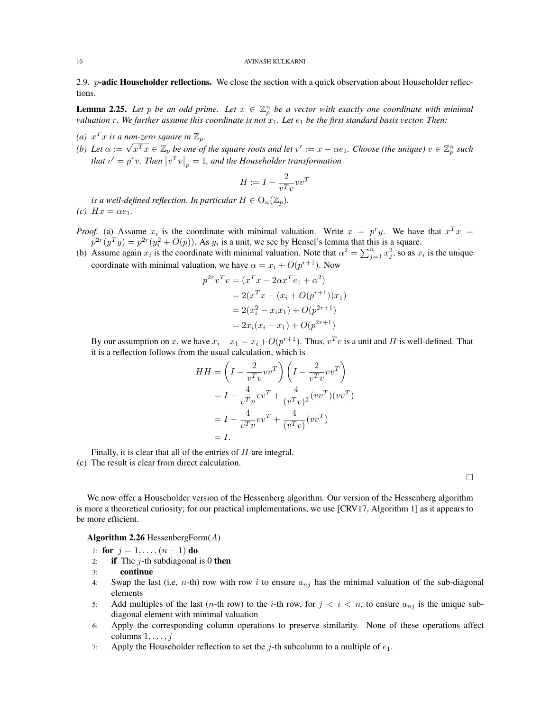2.9.  $p$ -adic Householder reflections. We close the section with a quick observation about Householder reflections.

**Lemma 2.25.** Let p be an odd prime. Let  $x \in \mathbb{Z}_p^n$  be a vector with exactly one coordinate with minimal *valuation* r. We further assume this coordinate is not  $x_1$ . Let  $e_1$  be the first standard basis vector. Then:

- *(a)*  $x^T x$  *is a non-zero square in*  $\mathbb{Z}_p$ *.*
- (*a*)  $x \cdot x$  is a non-zero square in  $\mathbb{Z}_p$ .<br> *(b)* Let  $\alpha := \sqrt{x^T x} \in \mathbb{Z}_p$  be one of the square roots and let  $v' := x \alpha e_1$ . Choose (the unique)  $v \in \mathbb{Z}_p^n$  such that  $v' = p^r v$ . Then  $\left| v^T v \right|_p = 1$ , and the Householder transformation

$$
H := I - \frac{2}{v^T v} v v^T
$$

*is a well-defined reflection. In particular*  $H \in O_n(\mathbb{Z}_p)$ . *(c)*  $Hx = \alpha e_1$ .

- *Proof.* (a) Assume  $x_i$  is the coordinate with minimal valuation. Write  $x = p^r y$ . We have that  $x^T x = p$  $p^{2r}(y^T y) = p^{2r}(y_i^2 + O(p))$ . As  $y_i$  is a unit, we see by Hensel's lemma that this is a square.
- (b) Assume again  $x_i$  is the coordinate with minimal valuation. Note that  $\alpha^2 = \sum_{j=1}^n x_j^2$ , so as  $x_i$  is the unique coordinate with minimal valuation, we have  $\alpha = x_i + O(p^{r+1})$ . Now

$$
p^{2r}v^{T}v = (x^{T}x - 2\alpha x^{T}e_{1} + \alpha^{2})
$$
  
= 2(x^{T}x - (x\_{i} + O(p^{r+1}))x\_{1})  
= 2(x\_{i}^{2} - x\_{i}x\_{1}) + O(p^{2r+1})  
= 2x\_{i}(x\_{i} - x\_{1}) + O(p^{2r+1})

By our assumption on x, we have  $x_i - x_1 = x_i + O(p^{r+1})$ . Thus,  $v^T v$  is a unit and H is well-defined. That it is a reflection follows from the usual calculation, which is

$$
HH = \left(I - \frac{2}{v^T v} vv^T\right) \left(I - \frac{2}{v^T v} vv^T\right)
$$
  
=  $I - \frac{4}{v^T v} vv^T + \frac{4}{(v^T v)^2} (vv^T) (vv^T)$   
=  $I - \frac{4}{v^T v} vv^T + \frac{4}{(v^T v)} (vv^T)$   
= I.

Finally, it is clear that all of the entries of H are integral.

(c) The result is clear from direct calculation.

 $\Box$ 

We now offer a Householder version of the Hessenberg algorithm. Our version of the Hessenberg algorithm is more a theoretical curiosity; for our practical implementations, we use [CRV17, Algorithm 1] as it appears to be more efficient.

#### Algorithm 2.26 HessenbergForm $(A)$

- 1: for  $j = 1, ..., (n 1)$  do
- 2: if The  $j$ -th subdiagonal is 0 then
- 3: continue
- 4: Swap the last (i.e, n-th) row with row i to ensure  $a_{ni}$  has the minimal valuation of the sub-diagonal elements
- 5: Add multiples of the last  $(n$ -th row) to the *i*-th row, for  $j < i < n$ , to ensure  $a_{nj}$  is the unique subdiagonal element with minimal valuation
- 6: Apply the corresponding column operations to preserve similarity. None of these operations affect columns  $1, \ldots, j$
- 7: Apply the Householder reflection to set the j-th subcolumn to a multiple of  $e_1$ .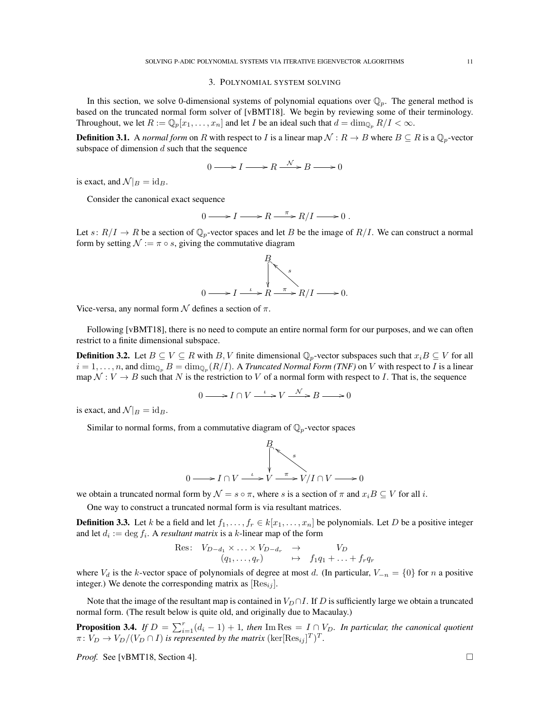#### 3. POLYNOMIAL SYSTEM SOLVING

In this section, we solve 0-dimensional systems of polynomial equations over  $\mathbb{Q}_p$ . The general method is based on the truncated normal form solver of [vBMT18]. We begin by reviewing some of their terminology. Throughout, we let  $R := \mathbb{Q}_p[x_1, \ldots, x_n]$  and let I be an ideal such that  $d = \dim_{\mathbb{Q}_p} R/I < \infty$ .

**Definition 3.1.** A *normal form* on R with respect to I is a linear map  $N: R \to B$  where  $B \subseteq R$  is a  $\mathbb{Q}_p$ -vector subspace of dimension  $d$  such that the sequence

$$
0 \longrightarrow I \longrightarrow R \stackrel{\mathcal{N}}{\longrightarrow} B \longrightarrow 0
$$

is exact, and  $\mathcal{N}|_B = id_B$ .

Consider the canonical exact sequence

$$
0 \longrightarrow I \longrightarrow R \stackrel{\pi}{\longrightarrow} R/I \longrightarrow 0.
$$

Let  $s: R/I \to R$  be a section of  $\mathbb{Q}_p$ -vector spaces and let B be the image of  $R/I$ . We can construct a normal form by setting  $\mathcal{N} := \pi \circ s$ , giving the commutative diagram



Vice-versa, any normal form  $\mathcal N$  defines a section of  $\pi$ .

Following [vBMT18], there is no need to compute an entire normal form for our purposes, and we can often restrict to a finite dimensional subspace.

**Definition 3.2.** Let  $B \subseteq V \subseteq R$  with B, V finite dimensional  $\mathbb{Q}_p$ -vector subspaces such that  $x_iB \subseteq V$  for all  $i=1,\ldots,n,$  and  $\dim_{{\mathbb Q}_p}B=\dim_{{\mathbb Q}_p}(R/I).$  A *Truncated Normal Form (TNF)* on  $V$  with respect to  $I$  is a linear map  $\mathcal{N}: V \to B$  such that N is the restriction to V of a normal form with respect to I. That is, the sequence

$$
0 \longrightarrow I \cap V \xrightarrow{\iota} V \xrightarrow{\mathcal{N}} B \longrightarrow 0
$$

is exact, and  $\mathcal{N}|_B = id_B$ .

Similar to normal forms, from a commutative diagram of  $\mathbb{Q}_p$ -vector spaces

$$
0 \longrightarrow I \cap V \xrightarrow{L} V \xrightarrow{\pi} V/I \cap V \longrightarrow 0
$$

we obtain a truncated normal form by  $\mathcal{N} = s \circ \pi$ , where s is a section of  $\pi$  and  $x_i B \subseteq V$  for all i.

One way to construct a truncated normal form is via resultant matrices.

**Definition 3.3.** Let k be a field and let  $f_1, \ldots, f_r \in k[x_1, \ldots, x_n]$  be polynomials. Let D be a positive integer and let  $d_i := \deg f_i$ . A *resultant matrix* is a k-linear map of the form

Res: 
$$
V_{D-d_1} \times \ldots \times V_{D-d_r} \rightarrow V_D
$$
  
\n $(q_1, \ldots, q_r) \rightarrow f_1 q_1 + \ldots + f_r q_r$ 

where  $V_d$  is the k-vector space of polynomials of degree at most d. (In particular,  $V_{-n} = \{0\}$  for n a positive integer.) We denote the corresponding matrix as  $[{\rm Res}_{ij}]$ .

Note that the image of the resultant map is contained in  $V_D \cap I$ . If D is sufficiently large we obtain a truncated normal form. (The result below is quite old, and originally due to Macaulay.)

**Proposition 3.4.** *If*  $D = \sum_{i=1}^{r} (d_i - 1) + 1$ , then  $\text{Im} \text{Res} = I \cap V_D$ . In particular, the canonical quotient  $\pi \colon V_D \to V_D/(V_D \cap I)$  is represented by the matrix  $(\ker [\text{Res}_{ij}]^T)^T$ .

*Proof.* See [vBMT18, Section 4]. □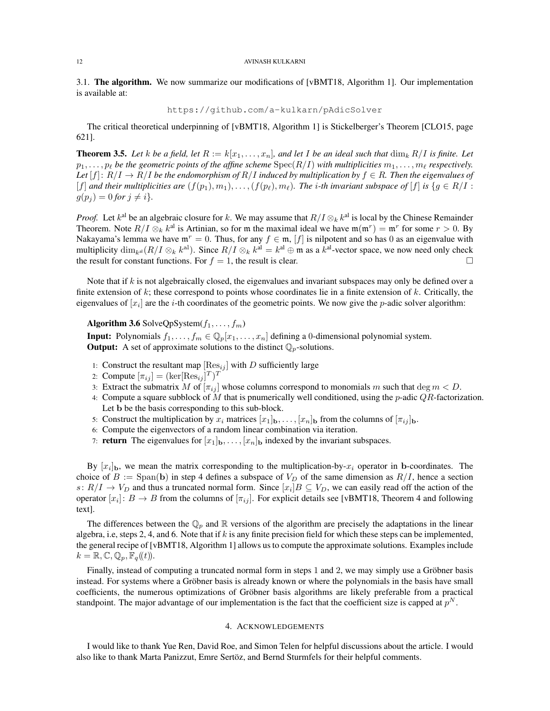#### 12 AVINASH KULKARNI

3.1. The algorithm. We now summarize our modifications of [vBMT18, Algorithm 1]. Our implementation is available at:

https://github.com/a-kulkarn/pAdicSolver

The critical theoretical underpinning of [vBMT18, Algorithm 1] is Stickelberger's Theorem [CLO15, page 621].

**Theorem 3.5.** Let k be a field, let  $R := k[x_1, \ldots, x_n]$ , and let I be an ideal such that  $\dim_k R/I$  is finite. Let  $p_1, \ldots, p_\ell$  be the geometric points of the affine scheme  $Spec(R/I)$  with multiplicities  $m_1, \ldots, m_\ell$  respectively. Let  $[f]: R/I \to R/I$  be the endomorphism of  $R/I$  induced by multiplication by  $f \in R$ . Then the eigenvalues of [f] and their multiplicities are  $(f(p_1), m_1), \ldots, (f(p_\ell), m_\ell)$ . The *i*-th invariant subspace of [f] is  $\{g \in R/I : I \subseteq I \}$  $g(p_j) = 0$  *for*  $j \neq i$ *}*.

*Proof.* Let  $k^{\text{al}}$  be an algebraic closure for k. We may assume that  $R/I \otimes_k k^{\text{al}}$  is local by the Chinese Remainder Theorem. Note  $R/I \otimes_k k^{al}$  is Artinian, so for m the maximal ideal we have  $\mathfrak{m}(\mathfrak{m}^r) = \mathfrak{m}^r$  for some  $r > 0$ . By Nakayama's lemma we have  $\mathfrak{m}^r = 0$ . Thus, for any  $f \in \mathfrak{m}$ , [f] is nilpotent and so has 0 as an eigenvalue with multiplicity  $\dim_{k} (R/I \otimes_k k^{al})$ . Since  $R/I \otimes_k k^{al} = k^{al} \oplus \mathfrak{m}$  as a  $k^{al}$ -vector space, we now need only check the result for constant functions. For  $f = 1$ , the result is clear.

Note that if  $k$  is not algebraically closed, the eigenvalues and invariant subspaces may only be defined over a finite extension of  $k$ ; these correspond to points whose coordinates lie in a finite extension of  $k$ . Critically, the eigenvalues of  $[x_i]$  are the *i*-th coordinates of the geometric points. We now give the *p*-adic solver algorithm:

Algorithm 3.6 SolveQpSystem $(f_1, \ldots, f_m)$ 

**Input:** Polynomials  $f_1, \ldots, f_m \in \mathbb{Q}_p[x_1, \ldots, x_n]$  defining a 0-dimensional polynomial system. **Output:** A set of approximate solutions to the distinct  $\mathbb{Q}_p$ -solutions.

- 1: Construct the resultant map  $[\text{Res}_{ij}]$  with D sufficiently large
- 2: Compute  $[\pi_{ij}] = (\text{ker}[{\rm Res}_{ij}]^T)^T$
- 3: Extract the submatrix M of  $[\pi_{ij}]$  whose columns correspond to monomials m such that deg  $m < D$ .
- 4: Compute a square subblock of M that is pnumerically well conditioned, using the  $p$ -adic  $QR$ -factorization. Let b be the basis corresponding to this sub-block.
- 5: Construct the multiplication by  $x_i$  matrices  $[x_1]_b, \ldots, [x_n]_b$  from the columns of  $[\pi_{ij}]_b$ .
- 6: Compute the eigenvectors of a random linear combination via iteration.
- 7: **return** The eigenvalues for  $[x_1]_b, \ldots, [x_n]_b$  indexed by the invariant subspaces.

By  $[x_i]_b$ , we mean the matrix corresponding to the multiplication-by- $x_i$  operator in b-coordinates. The choice of  $B := \text{Span}(\mathbf{b})$  in step 4 defines a subspace of  $V_D$  of the same dimension as  $R/I$ , hence a section  $s: R/I \to V_D$  and thus a truncated normal form. Since  $[x_i]B \subseteq V_D$ , we can easily read off the action of the operator  $[x_i]: B \to B$  from the columns of  $[\pi_{ij}]$ . For explicit details see [vBMT18, Theorem 4 and following text].

The differences between the  $\mathbb{Q}_p$  and R versions of the algorithm are precisely the adaptations in the linear algebra, i.e, steps 2, 4, and 6. Note that if k is any finite precision field for which these steps can be implemented, the general recipe of [vBMT18, Algorithm 1] allows us to compute the approximate solutions. Examples include  $k = \mathbb{R}, \mathbb{C}, \mathbb{Q}_p, \mathbb{F}_q(\!(t)\!).$ 

Finally, instead of computing a truncated normal form in steps 1 and 2, we may simply use a Gröbner basis instead. For systems where a Gröbner basis is already known or where the polynomials in the basis have small coefficients, the numerous optimizations of Gröbner basis algorithms are likely preferable from a practical standpoint. The major advantage of our implementation is the fact that the coefficient size is capped at  $p<sup>N</sup>$ .

#### 4. ACKNOWLEDGEMENTS

I would like to thank Yue Ren, David Roe, and Simon Telen for helpful discussions about the article. I would also like to thank Marta Panizzut, Emre Sertöz, and Bernd Sturmfels for their helpful comments.